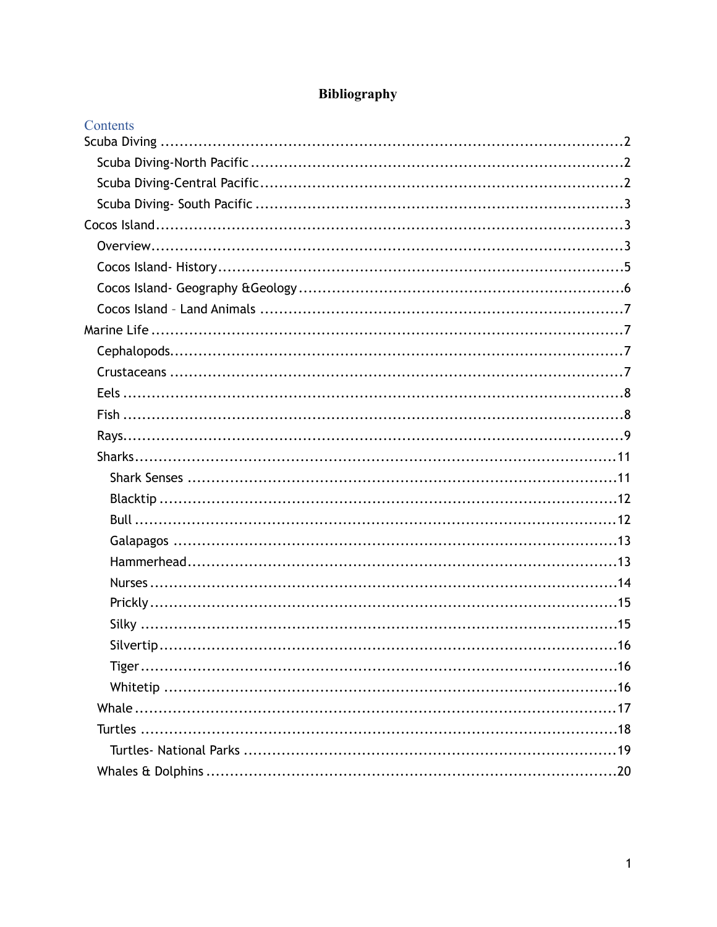| Contents |  |
|----------|--|
|          |  |
|          |  |
|          |  |
|          |  |
|          |  |
|          |  |
|          |  |
|          |  |
|          |  |
|          |  |
|          |  |
|          |  |
|          |  |
|          |  |
|          |  |
|          |  |
|          |  |
|          |  |
|          |  |
|          |  |
|          |  |
|          |  |
|          |  |
|          |  |
|          |  |
|          |  |
|          |  |
|          |  |
|          |  |
|          |  |
|          |  |

# Bibliography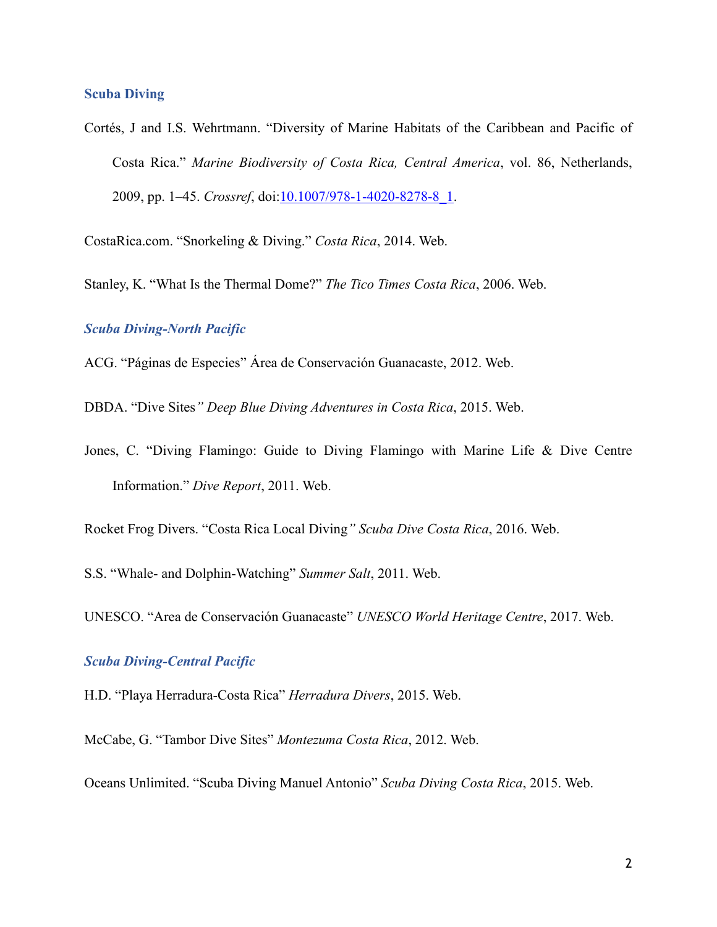#### <span id="page-1-0"></span>**Scuba Diving**

Cortés, J and I.S. Wehrtmann. "Diversity of Marine Habitats of the Caribbean and Pacific of Costa Rica." *Marine Biodiversity of Costa Rica, Central America*, vol. 86, Netherlands, 2009, pp. 1–45. *Crossref*, doi[:10.1007/978-1-4020-8278-8\\_1](https://doi.org/10.1007/978-1-4020-8278-8_1).

CostaRica.com. "Snorkeling & Diving." *Costa Rica*, 2014. Web.

Stanley, K. "What Is the Thermal Dome?" *The Tico Times Costa Rica*, 2006. Web.

## <span id="page-1-1"></span>*Scuba Diving-North Pacific*

ACG. "Páginas de Especies" Área de Conservación Guanacaste, 2012. Web.

DBDA. "Dive Sites*" Deep Blue Diving Adventures in Costa Rica*, 2015. Web.

Jones, C. "Diving Flamingo: Guide to Diving Flamingo with Marine Life & Dive Centre Information." *Dive Report*, 2011. Web.

Rocket Frog Divers. "Costa Rica Local Diving*" Scuba Dive Costa Rica*, 2016. Web.

S.S. "Whale- and Dolphin-Watching" *Summer Salt*, 2011. Web.

UNESCO. "Area de Conservación Guanacaste" *UNESCO World Heritage Centre*, 2017. Web.

## <span id="page-1-2"></span>*Scuba Diving-Central Pacific*

H.D. "Playa Herradura-Costa Rica" *Herradura Divers*, 2015. Web.

McCabe, G. "Tambor Dive Sites" *Montezuma Costa Rica*, 2012. Web.

Oceans Unlimited. "Scuba Diving Manuel Antonio" *Scuba Diving Costa Rica*, 2015. Web.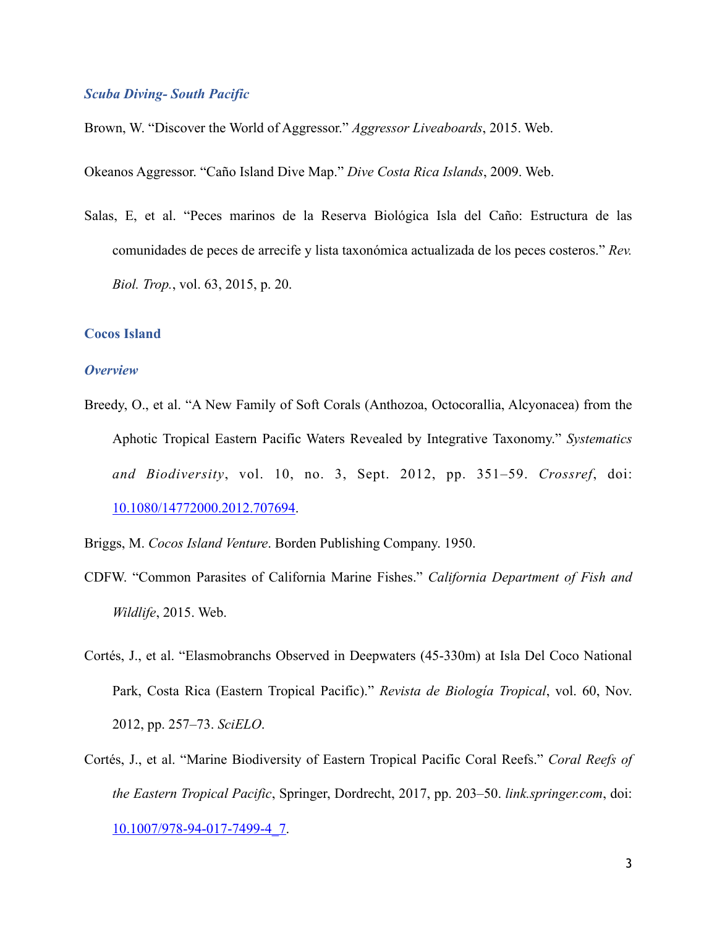### <span id="page-2-0"></span>*Scuba Diving- South Pacific*

Brown, W. "Discover the World of Aggressor." *Aggressor Liveaboards*, 2015. Web.

Okeanos Aggressor. "Caño Island Dive Map." *Dive Costa Rica Islands*, 2009. Web.

Salas, E, et al. "Peces marinos de la Reserva Biológica Isla del Caño: Estructura de las comunidades de peces de arrecife y lista taxonómica actualizada de los peces costeros." *Rev. Biol. Trop.*, vol. 63, 2015, p. 20.

#### <span id="page-2-1"></span>**Cocos Island**

#### <span id="page-2-2"></span>*Overview*

- Breedy, O., et al. "A New Family of Soft Corals (Anthozoa, Octocorallia, Alcyonacea) from the Aphotic Tropical Eastern Pacific Waters Revealed by Integrative Taxonomy." *Systematics and Biodiversity*, vol. 10, no. 3, Sept. 2012, pp. 351–59. *Crossref*, doi: [10.1080/14772000.2012.707694](https://doi.org/10.1080/14772000.2012.707694).
- Briggs, M. *Cocos Island Venture*. Borden Publishing Company. 1950.
- CDFW. "Common Parasites of California Marine Fishes." *California Department of Fish and Wildlife*, 2015. Web.
- Cortés, J., et al. "Elasmobranchs Observed in Deepwaters (45-330m) at Isla Del Coco National Park, Costa Rica (Eastern Tropical Pacific)." *Revista de Biología Tropical*, vol. 60, Nov. 2012, pp. 257–73. *SciELO*.
- Cortés, J., et al. "Marine Biodiversity of Eastern Tropical Pacific Coral Reefs." *Coral Reefs of the Eastern Tropical Pacific*, Springer, Dordrecht, 2017, pp. 203–50. *link.springer.com*, doi: [10.1007/978-94-017-7499-4\\_7](https://doi.org/10.1007/978-94-017-7499-4_7).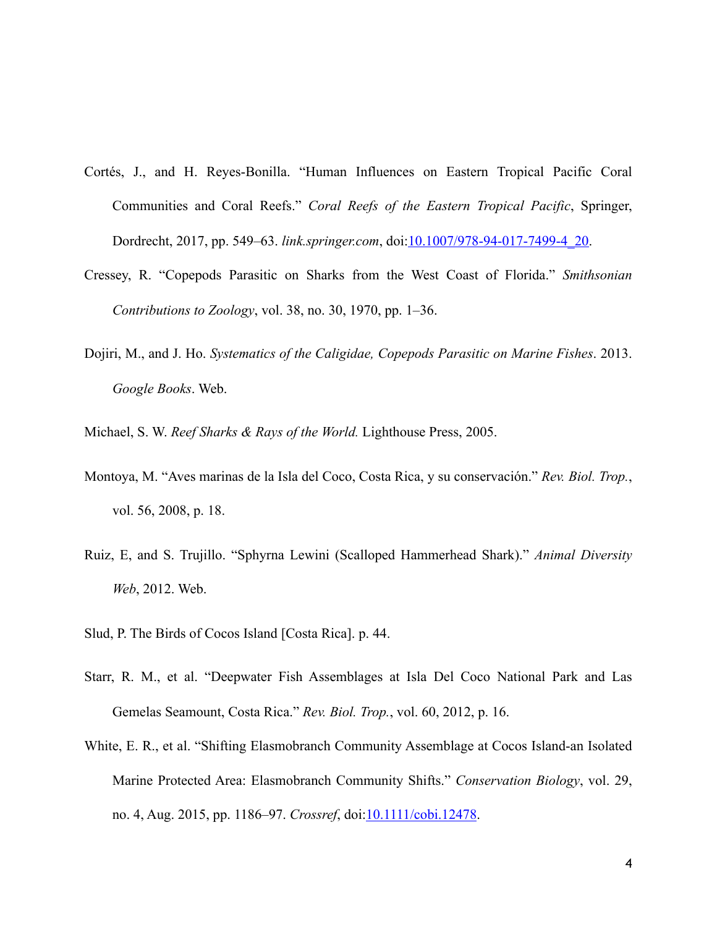- Cortés, J., and H. Reyes-Bonilla. "Human Influences on Eastern Tropical Pacific Coral Communities and Coral Reefs." *Coral Reefs of the Eastern Tropical Pacific*, Springer, Dordrecht, 2017, pp. 549–63. *link.springer.com*, doi:[10.1007/978-94-017-7499-4\\_20.](https://doi.org/10.1007/978-94-017-7499-4_20)
- Cressey, R. "Copepods Parasitic on Sharks from the West Coast of Florida." *Smithsonian Contributions to Zoology*, vol. 38, no. 30, 1970, pp. 1–36.
- Dojiri, M., and J. Ho. *Systematics of the Caligidae, Copepods Parasitic on Marine Fishes*. 2013. *Google Books*. Web.
- Michael, S. W. *Reef Sharks & Rays of the World.* Lighthouse Press, 2005.
- Montoya, M. "Aves marinas de la Isla del Coco, Costa Rica, y su conservación." *Rev. Biol. Trop.*, vol. 56, 2008, p. 18.
- Ruiz, E, and S. Trujillo. "Sphyrna Lewini (Scalloped Hammerhead Shark)." *Animal Diversity Web*, 2012. Web.
- Slud, P. The Birds of Cocos Island [Costa Rica]. p. 44.
- Starr, R. M., et al. "Deepwater Fish Assemblages at Isla Del Coco National Park and Las Gemelas Seamount, Costa Rica." *Rev. Biol. Trop.*, vol. 60, 2012, p. 16.
- White, E. R., et al. "Shifting Elasmobranch Community Assemblage at Cocos Island-an Isolated Marine Protected Area: Elasmobranch Community Shifts." *Conservation Biology*, vol. 29, no. 4, Aug. 2015, pp. 1186–97. *Crossref*, doi:[10.1111/cobi.12478](https://doi.org/10.1111/cobi.12478).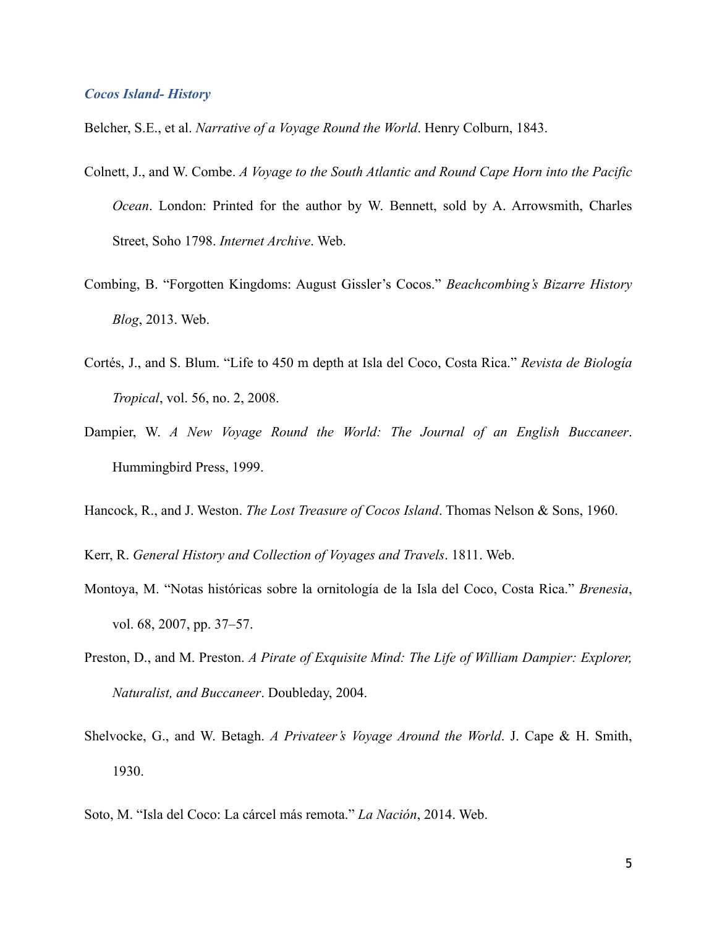## <span id="page-4-0"></span>*Cocos Island- History*

Belcher, S.E., et al. *Narrative of a Voyage Round the World*. Henry Colburn, 1843.

- Colnett, J., and W. Combe. *A Voyage to the South Atlantic and Round Cape Horn into the Pacific Ocean*. London: Printed for the author by W. Bennett, sold by A. Arrowsmith, Charles Street, Soho 1798. *Internet Archive*. Web.
- Combing, B. "Forgotten Kingdoms: August Gissler's Cocos." *Beachcombing's Bizarre History Blog*, 2013. Web.
- Cortés, J., and S. Blum. "Life to 450 m depth at Isla del Coco, Costa Rica." *Revista de Biología Tropical*, vol. 56, no. 2, 2008.
- Dampier, W. *A New Voyage Round the World: The Journal of an English Buccaneer*. Hummingbird Press, 1999.
- Hancock, R., and J. Weston. *The Lost Treasure of Cocos Island*. Thomas Nelson & Sons, 1960.
- Kerr, R. *General History and Collection of Voyages and Travels*. 1811. Web.
- Montoya, M. "Notas históricas sobre la ornitología de la Isla del Coco, Costa Rica." *Brenesia*, vol. 68, 2007, pp. 37–57.
- Preston, D., and M. Preston. *A Pirate of Exquisite Mind: The Life of William Dampier: Explorer, Naturalist, and Buccaneer*. Doubleday, 2004.
- Shelvocke, G., and W. Betagh. *A Privateer's Voyage Around the World*. J. Cape & H. Smith, 1930.
- Soto, M. "Isla del Coco: La cárcel más remota." *La Nación*, 2014. Web.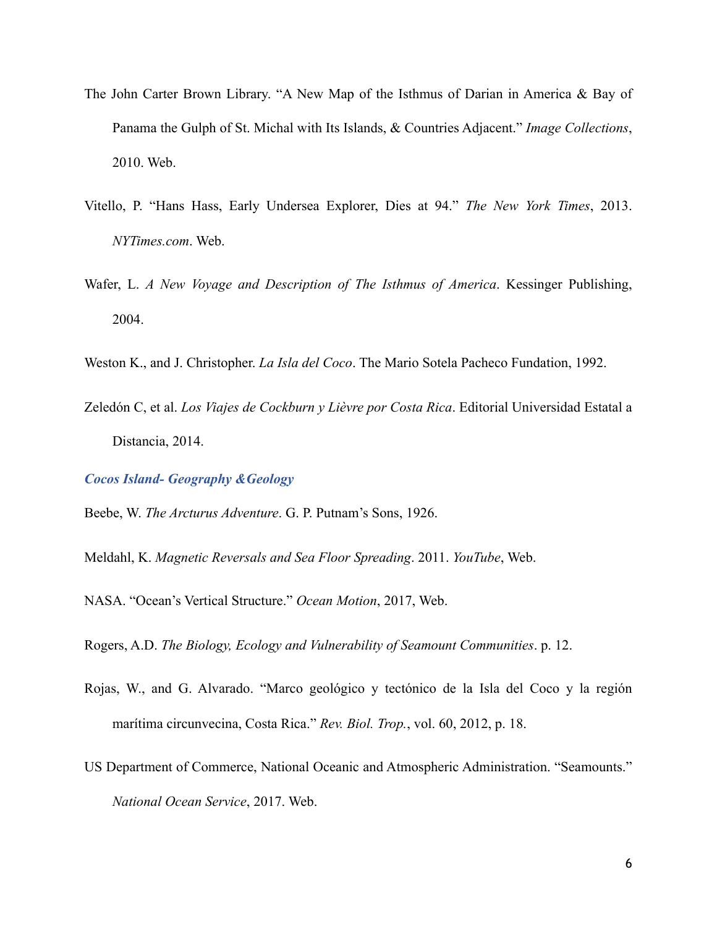- The John Carter Brown Library. "A New Map of the Isthmus of Darian in America & Bay of Panama the Gulph of St. Michal with Its Islands, & Countries Adjacent." *Image Collections*, 2010. Web.
- Vitello, P. "Hans Hass, Early Undersea Explorer, Dies at 94." *The New York Times*, 2013. *NYTimes.com*. Web.
- Wafer, L. *A New Voyage and Description of The Isthmus of America*. Kessinger Publishing, 2004.
- Weston K., and J. Christopher. *La Isla del Coco*. The Mario Sotela Pacheco Fundation, 1992.
- Zeledón C, et al. *Los Viajes de Cockburn y Lièvre por Costa Rica*. Editorial Universidad Estatal a Distancia, 2014.

<span id="page-5-0"></span>*Cocos Island- Geography &Geology* 

Beebe, W. *The Arcturus Adventure*. G. P. Putnam's Sons, 1926.

Meldahl, K. *Magnetic Reversals and Sea Floor Spreading*. 2011. *YouTube*, Web.

NASA. "Ocean's Vertical Structure." *Ocean Motion*, 2017, Web.

Rogers, A.D. *The Biology, Ecology and Vulnerability of Seamount Communities*. p. 12.

- Rojas, W., and G. Alvarado. "Marco geológico y tectónico de la Isla del Coco y la región marítima circunvecina, Costa Rica." *Rev. Biol. Trop.*, vol. 60, 2012, p. 18.
- US Department of Commerce, National Oceanic and Atmospheric Administration. "Seamounts." *National Ocean Service*, 2017. Web.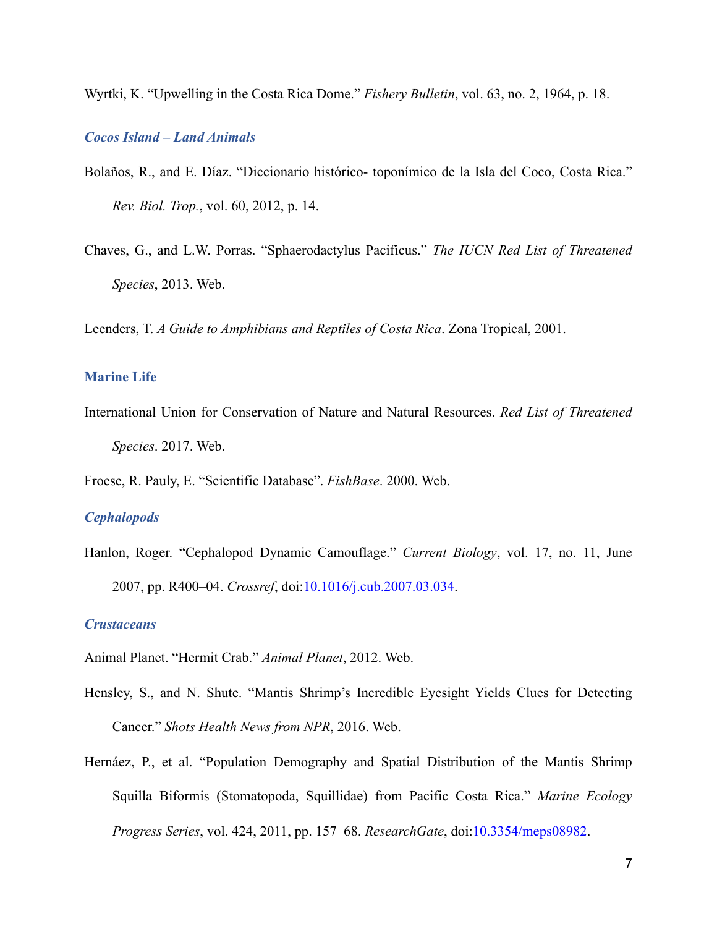Wyrtki, K. "Upwelling in the Costa Rica Dome." *Fishery Bulletin*, vol. 63, no. 2, 1964, p. 18.

# <span id="page-6-0"></span>*Cocos Island – Land Animals*

- Bolaños, R., and E. Díaz. "Diccionario histórico- toponímico de la Isla del Coco, Costa Rica." *Rev. Biol. Trop.*, vol. 60, 2012, p. 14.
- Chaves, G., and L.W. Porras. "Sphaerodactylus Pacificus." *The IUCN Red List of Threatened Species*, 2013. Web.

Leenders, T. *A Guide to Amphibians and Reptiles of Costa Rica*. Zona Tropical, 2001.

## <span id="page-6-1"></span>**Marine Life**

International Union for Conservation of Nature and Natural Resources. *Red List of Threatened Species*. 2017. Web.

Froese, R. Pauly, E. "Scientific Database". *FishBase*. 2000. Web.

## <span id="page-6-2"></span>*Cephalopods*

Hanlon, Roger. "Cephalopod Dynamic Camouflage." *Current Biology*, vol. 17, no. 11, June 2007, pp. R400–04. *Crossref*, doi[:10.1016/j.cub.2007.03.034](https://doi.org/10.1016/j.cub.2007.03.034).

# <span id="page-6-3"></span>*Crustaceans*

Animal Planet. "Hermit Crab." *Animal Planet*, 2012. Web.

- Hensley, S., and N. Shute. "Mantis Shrimp's Incredible Eyesight Yields Clues for Detecting Cancer." *Shots Health News from NPR*, 2016. Web.
- Hernáez, P., et al. "Population Demography and Spatial Distribution of the Mantis Shrimp Squilla Biformis (Stomatopoda, Squillidae) from Pacific Costa Rica." *Marine Ecology Progress Series*, vol. 424, 2011, pp. 157–68. *ResearchGate*, doi:[10.3354/meps08982.](https://doi.org/10.3354/meps08982)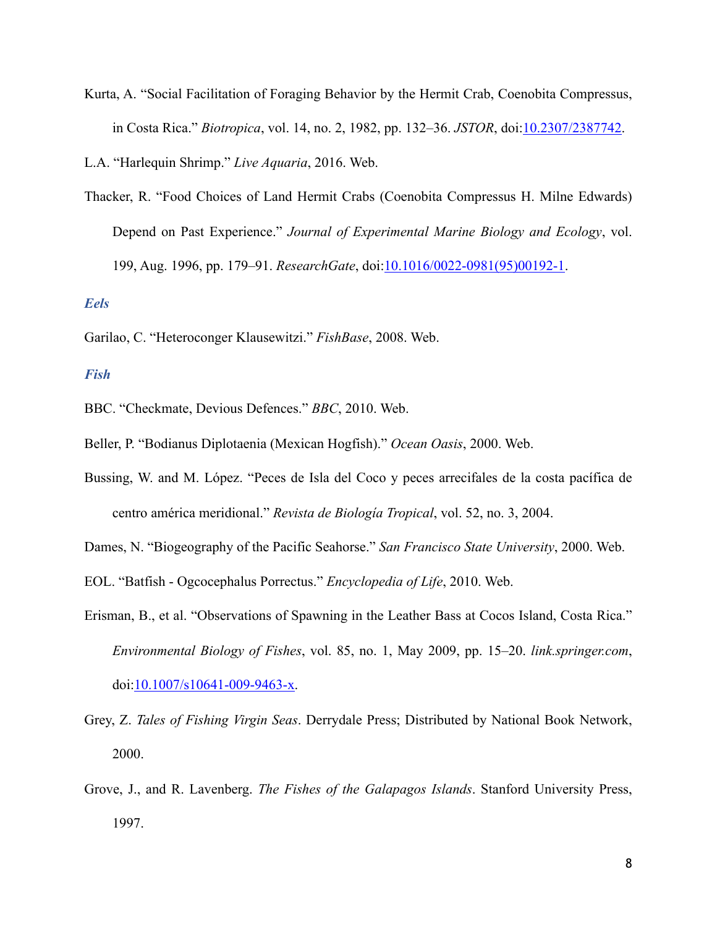Kurta, A. "Social Facilitation of Foraging Behavior by the Hermit Crab, Coenobita Compressus, in Costa Rica." *Biotropica*, vol. 14, no. 2, 1982, pp. 132–36. *JSTOR*, doi:[10.2307/2387742.](https://doi.org/10.2307/2387742)

L.A. "Harlequin Shrimp." *Live Aquaria*, 2016. Web.

Thacker, R. "Food Choices of Land Hermit Crabs (Coenobita Compressus H. Milne Edwards) Depend on Past Experience." *Journal of Experimental Marine Biology and Ecology*, vol. 199, Aug. 1996, pp. 179–91. *ResearchGate*, doi[:10.1016/0022-0981\(95\)00192-1.](https://doi.org/10.1016/0022-0981(95)00192-1)

### <span id="page-7-0"></span>*Eels*

Garilao, C. "Heteroconger Klausewitzi." *FishBase*, 2008. Web.

## <span id="page-7-1"></span>*Fish*

BBC. "Checkmate, Devious Defences." *BBC*, 2010. Web.

- Beller, P. "Bodianus Diplotaenia (Mexican Hogfish)." *Ocean Oasis*, 2000. Web.
- Bussing, W. and M. López. "Peces de Isla del Coco y peces arrecifales de la costa pacífica de centro américa meridional." *Revista de Biología Tropical*, vol. 52, no. 3, 2004.

Dames, N. "Biogeography of the Pacific Seahorse." *San Francisco State University*, 2000. Web.

EOL. "Batfish - Ogcocephalus Porrectus." *Encyclopedia of Life*, 2010. Web.

- Erisman, B., et al. "Observations of Spawning in the Leather Bass at Cocos Island, Costa Rica." *Environmental Biology of Fishes*, vol. 85, no. 1, May 2009, pp. 15–20. *link.springer.com*, doi:[10.1007/s10641-009-9463-x.](https://doi.org/10.1007/s10641-009-9463-x)
- Grey, Z. *Tales of Fishing Virgin Seas*. Derrydale Press; Distributed by National Book Network, 2000.
- Grove, J., and R. Lavenberg. *The Fishes of the Galapagos Islands*. Stanford University Press, 1997.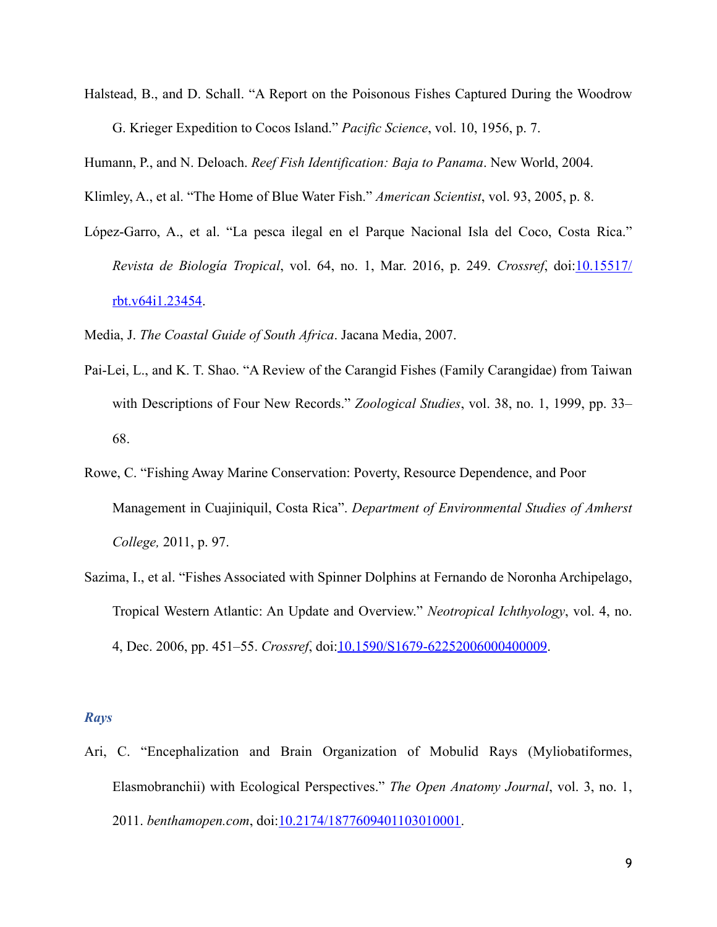Halstead, B., and D. Schall. "A Report on the Poisonous Fishes Captured During the Woodrow G. Krieger Expedition to Cocos Island." *Pacific Science*, vol. 10, 1956, p. 7.

Humann, P., and N. Deloach. *Reef Fish Identification: Baja to Panama*. New World, 2004.

Klimley, A., et al. "The Home of Blue Water Fish." *American Scientist*, vol. 93, 2005, p. 8.

López-Garro, A., et al. "La pesca ilegal en el Parque Nacional Isla del Coco, Costa Rica." *Revista de Biología Tropical*, vol. 64, no. 1, Mar. 2016, p. 249. *Crossref*, doi:[10.15517/](https://doi.org/10.15517/rbt.v64i1.23454) [rbt.v64i1.23454.](https://doi.org/10.15517/rbt.v64i1.23454)

Media, J. *The Coastal Guide of South Africa*. Jacana Media, 2007.

- Pai-Lei, L., and K. T. Shao. "A Review of the Carangid Fishes (Family Carangidae) from Taiwan with Descriptions of Four New Records." *Zoological Studies*, vol. 38, no. 1, 1999, pp. 33– 68.
- Rowe, C. "Fishing Away Marine Conservation: Poverty, Resource Dependence, and Poor Management in Cuajiniquil, Costa Rica". *Department of Environmental Studies of Amherst College,* 2011, p. 97.
- Sazima, I., et al. "Fishes Associated with Spinner Dolphins at Fernando de Noronha Archipelago, Tropical Western Atlantic: An Update and Overview." *Neotropical Ichthyology*, vol. 4, no. 4, Dec. 2006, pp. 451–55. *Crossref*, doi[:10.1590/S1679-62252006000400009](https://doi.org/10.1590/S1679-62252006000400009).

#### <span id="page-8-0"></span>*Rays*

Ari, C. "Encephalization and Brain Organization of Mobulid Rays (Myliobatiformes, Elasmobranchii) with Ecological Perspectives." *The Open Anatomy Journal*, vol. 3, no. 1, 2011. *benthamopen.com*, doi:[10.2174/1877609401103010001.](https://doi.org/10.2174/1877609401103010001)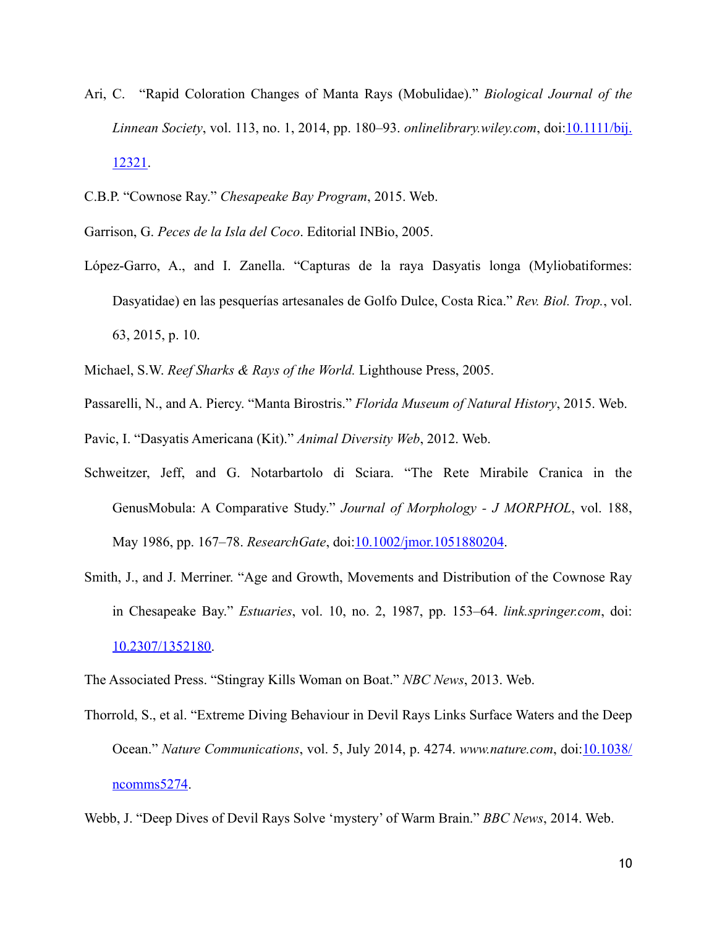- Ari, C. "Rapid Coloration Changes of Manta Rays (Mobulidae)." *Biological Journal of the Linnean Society*, vol. 113, no. 1, 2014, pp. 180–93. *onlinelibrary.wiley.com*, doi[:10.1111/bij.](https://doi.org/10.1111/bij.12321) [12321](https://doi.org/10.1111/bij.12321).
- C.B.P. "Cownose Ray." *Chesapeake Bay Program*, 2015. Web.
- Garrison, G. *Peces de la Isla del Coco*. Editorial INBio, 2005.
- López-Garro, A., and I. Zanella. "Capturas de la raya Dasyatis longa (Myliobatiformes: Dasyatidae) en las pesquerías artesanales de Golfo Dulce, Costa Rica." *Rev. Biol. Trop.*, vol. 63, 2015, p. 10.
- Michael, S.W. *Reef Sharks & Rays of the World.* Lighthouse Press, 2005.
- Passarelli, N., and A. Piercy. "Manta Birostris." *Florida Museum of Natural History*, 2015. Web.
- Pavic, I. "Dasyatis Americana (Kit)." *Animal Diversity Web*, 2012. Web.
- Schweitzer, Jeff, and G. Notarbartolo di Sciara. "The Rete Mirabile Cranica in the GenusMobula: A Comparative Study." *Journal of Morphology - J MORPHOL*, vol. 188, May 1986, pp. 167–78. *ResearchGate*, doi[:10.1002/jmor.1051880204.](https://doi.org/10.1002/jmor.1051880204)
- Smith, J., and J. Merriner. "Age and Growth, Movements and Distribution of the Cownose Ray in Chesapeake Bay." *Estuaries*, vol. 10, no. 2, 1987, pp. 153–64. *link.springer.com*, doi: [10.2307/1352180](https://doi.org/10.2307/1352180).
- The Associated Press. "Stingray Kills Woman on Boat." *NBC News*, 2013. Web.
- Thorrold, S., et al. "Extreme Diving Behaviour in Devil Rays Links Surface Waters and the Deep Ocean." *Nature Communications*, vol. 5, July 2014, p. 4274. *www.nature.com*, doi:[10.1038/](https://doi.org/10.1038/ncomms5274) [ncomms5274.](https://doi.org/10.1038/ncomms5274)
- Webb, J. "Deep Dives of Devil Rays Solve 'mystery' of Warm Brain." *BBC News*, 2014. Web.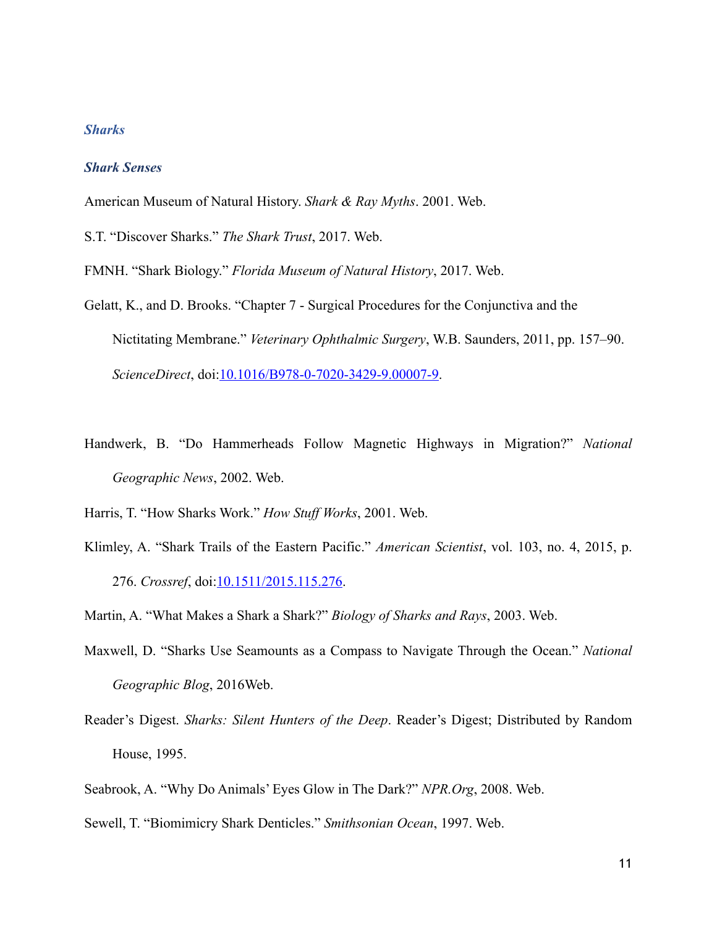# <span id="page-10-0"></span>*Sharks*

## <span id="page-10-1"></span>*Shark Senses*

American Museum of Natural History. *Shark & Ray Myths*. 2001. Web.

S.T. "Discover Sharks." *The Shark Trust*, 2017. Web.

FMNH. "Shark Biology." *Florida Museum of Natural History*, 2017. Web.

- Gelatt, K., and D. Brooks. "Chapter 7 Surgical Procedures for the Conjunctiva and the Nictitating Membrane." *Veterinary Ophthalmic Surgery*, W.B. Saunders, 2011, pp. 157–90. *ScienceDirect*, doi:[10.1016/B978-0-7020-3429-9.00007-9.](https://doi.org/10.1016/B978-0-7020-3429-9.00007-9)
- Handwerk, B. "Do Hammerheads Follow Magnetic Highways in Migration?" *National Geographic News*, 2002. Web.

Harris, T. "How Sharks Work." *How Stuff Works*, 2001. Web.

Klimley, A. "Shark Trails of the Eastern Pacific." *American Scientist*, vol. 103, no. 4, 2015, p. 276. *Crossref*, doi[:10.1511/2015.115.276.](https://doi.org/10.1511/2015.115.276)

Martin, A. "What Makes a Shark a Shark?" *Biology of Sharks and Rays*, 2003. Web.

- Maxwell, D. "Sharks Use Seamounts as a Compass to Navigate Through the Ocean." *National Geographic Blog*, 2016Web.
- Reader's Digest. *Sharks: Silent Hunters of the Deep*. Reader's Digest; Distributed by Random House, 1995.
- Seabrook, A. "Why Do Animals' Eyes Glow in The Dark?" *NPR.Org*, 2008. Web.
- Sewell, T. "Biomimicry Shark Denticles." *Smithsonian Ocean*, 1997. Web.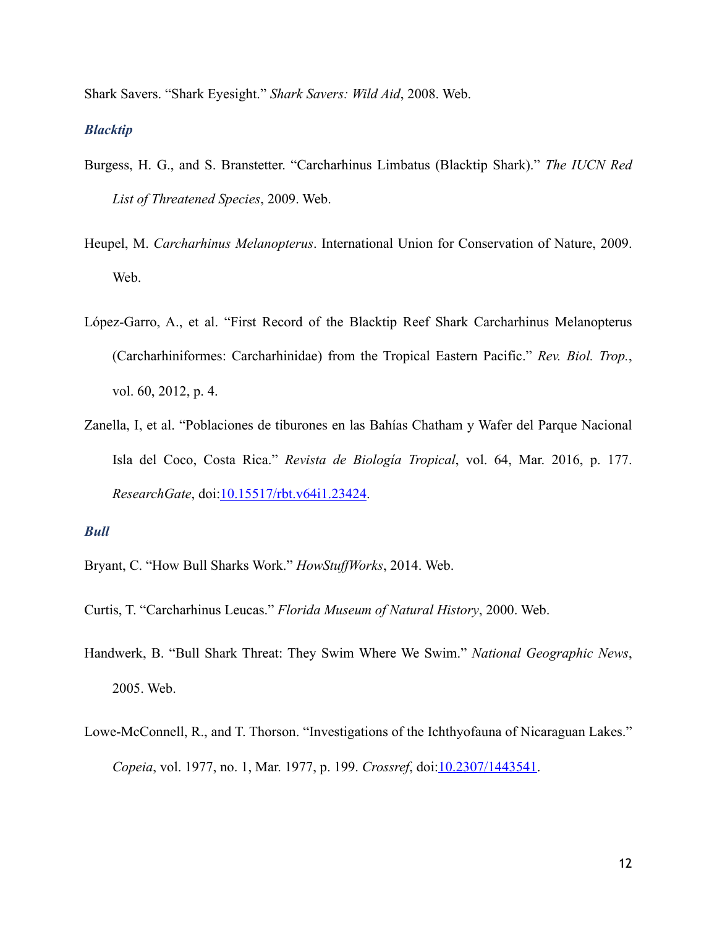Shark Savers. "Shark Eyesight." *Shark Savers: Wild Aid*, 2008. Web.

### <span id="page-11-0"></span>*Blacktip*

- Burgess, H. G., and S. Branstetter. "Carcharhinus Limbatus (Blacktip Shark)." *The IUCN Red List of Threatened Species*, 2009. Web.
- Heupel, M. *Carcharhinus Melanopterus*. International Union for Conservation of Nature, 2009. Web.
- López-Garro, A., et al. "First Record of the Blacktip Reef Shark Carcharhinus Melanopterus (Carcharhiniformes: Carcharhinidae) from the Tropical Eastern Pacific." *Rev. Biol. Trop.*, vol. 60, 2012, p. 4.
- Zanella, I, et al. "Poblaciones de tiburones en las Bahías Chatham y Wafer del Parque Nacional Isla del Coco, Costa Rica." *Revista de Biología Tropical*, vol. 64, Mar. 2016, p. 177. *ResearchGate*, doi[:10.15517/rbt.v64i1.23424](https://doi.org/10.15517/rbt.v64i1.23424).

# <span id="page-11-1"></span>*Bull*

- Bryant, C. "How Bull Sharks Work." *HowStuffWorks*, 2014. Web.
- Curtis, T. "Carcharhinus Leucas." *Florida Museum of Natural History*, 2000. Web.
- Handwerk, B. "Bull Shark Threat: They Swim Where We Swim." *National Geographic News*, 2005. Web.
- Lowe-McConnell, R., and T. Thorson. "Investigations of the Ichthyofauna of Nicaraguan Lakes." *Copeia*, vol. 1977, no. 1, Mar. 1977, p. 199. *Crossref*, doi[:10.2307/1443541.](https://doi.org/10.2307/1443541)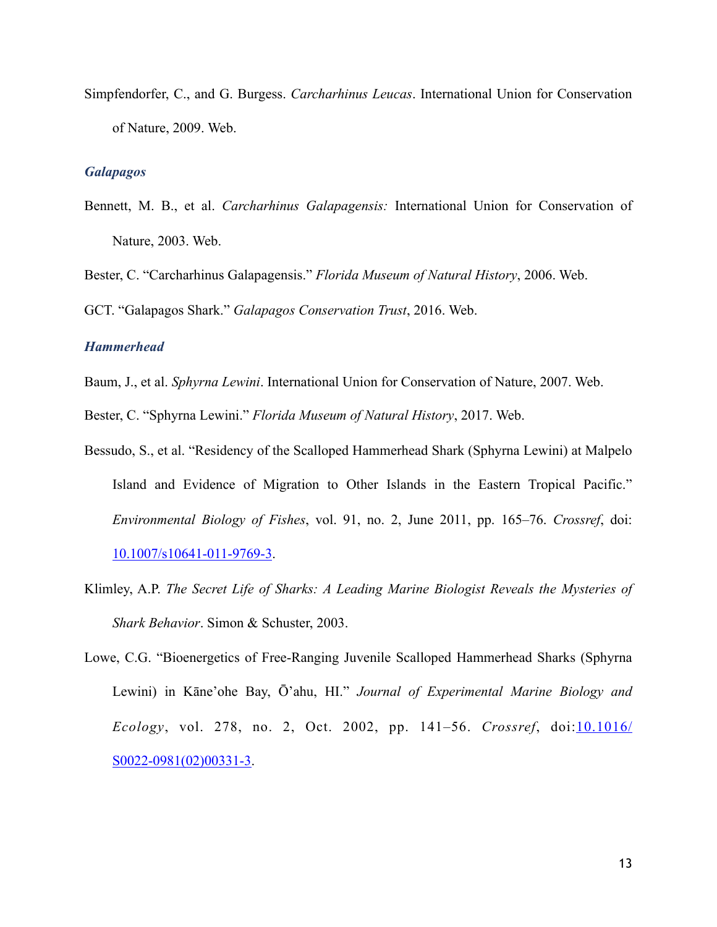Simpfendorfer, C., and G. Burgess. *Carcharhinus Leucas*. International Union for Conservation of Nature, 2009. Web.

#### <span id="page-12-0"></span>*Galapagos*

Bennett, M. B., et al. *Carcharhinus Galapagensis:* International Union for Conservation of Nature, 2003. Web.

Bester, C. "Carcharhinus Galapagensis." *Florida Museum of Natural History*, 2006. Web.

GCT. "Galapagos Shark." *Galapagos Conservation Trust*, 2016. Web.

# <span id="page-12-1"></span>*Hammerhead*

Baum, J., et al. *Sphyrna Lewini*. International Union for Conservation of Nature, 2007. Web.

Bester, C. "Sphyrna Lewini." *Florida Museum of Natural History*, 2017. Web.

- Bessudo, S., et al. "Residency of the Scalloped Hammerhead Shark (Sphyrna Lewini) at Malpelo Island and Evidence of Migration to Other Islands in the Eastern Tropical Pacific." *Environmental Biology of Fishes*, vol. 91, no. 2, June 2011, pp. 165–76. *Crossref*, doi: [10.1007/s10641-011-9769-3.](https://doi.org/10.1007/s10641-011-9769-3)
- Klimley, A.P. *The Secret Life of Sharks: A Leading Marine Biologist Reveals the Mysteries of Shark Behavior*. Simon & Schuster, 2003.
- Lowe, C.G. "Bioenergetics of Free-Ranging Juvenile Scalloped Hammerhead Sharks (Sphyrna Lewini) in Kāne'ohe Bay, Ō'ahu, HI." *Journal of Experimental Marine Biology and Ecology*, vol. 278, no. 2, Oct. 2002, pp. 141–56. *Crossref*, doi:[10.1016/](https://doi.org/10.1016/S0022-0981(02)00331-3) [S0022-0981\(02\)00331-3.](https://doi.org/10.1016/S0022-0981(02)00331-3)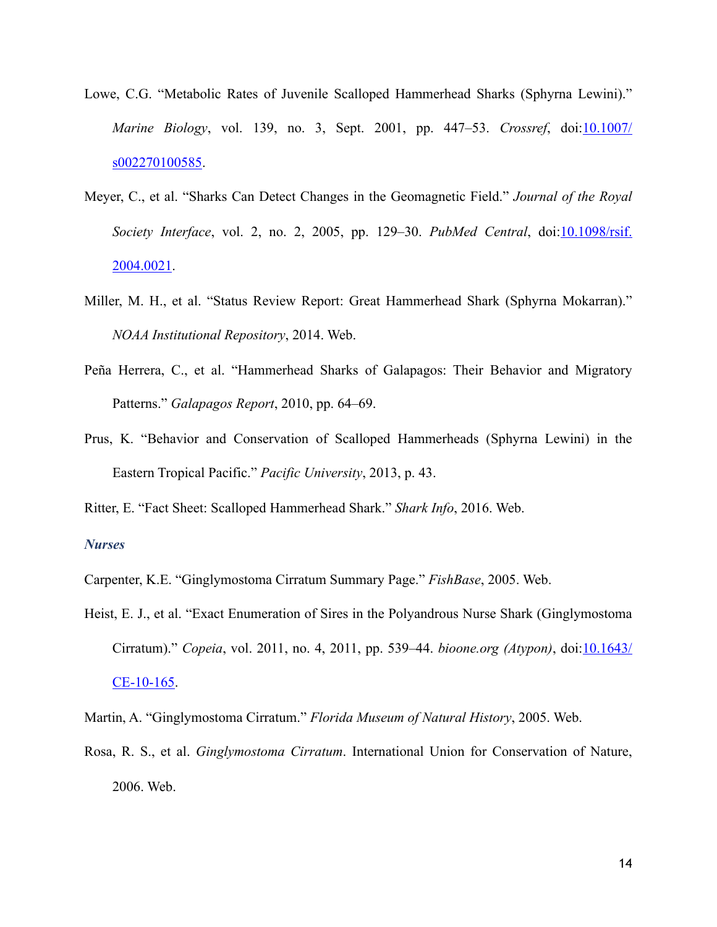- Lowe, C.G. "Metabolic Rates of Juvenile Scalloped Hammerhead Sharks (Sphyrna Lewini)." *Marine Biology*, vol. 139, no. 3, Sept. 2001, pp. 447–53. *Crossref*, doi:[10.1007/](https://doi.org/10.1007/s002270100585) [s002270100585.](https://doi.org/10.1007/s002270100585)
- Meyer, C., et al. "Sharks Can Detect Changes in the Geomagnetic Field." *Journal of the Royal Society Interface*, vol. 2, no. 2, 2005, pp. 129–30. *PubMed Central*, doi:[10.1098/rsif.](https://doi.org/10.1098/rsif.2004.0021) [2004.0021](https://doi.org/10.1098/rsif.2004.0021).
- Miller, M. H., et al. "Status Review Report: Great Hammerhead Shark (Sphyrna Mokarran)." *NOAA Institutional Repository*, 2014. Web.
- Peña Herrera, C., et al. "Hammerhead Sharks of Galapagos: Their Behavior and Migratory Patterns." *Galapagos Report*, 2010, pp. 64–69.
- Prus, K. "Behavior and Conservation of Scalloped Hammerheads (Sphyrna Lewini) in the Eastern Tropical Pacific." *Pacific University*, 2013, p. 43.

Ritter, E. "Fact Sheet: Scalloped Hammerhead Shark." *Shark Info*, 2016. Web.

# <span id="page-13-0"></span>*Nurses*

Carpenter, K.E. "Ginglymostoma Cirratum Summary Page." *FishBase*, 2005. Web.

Heist, E. J., et al. "Exact Enumeration of Sires in the Polyandrous Nurse Shark (Ginglymostoma Cirratum)." *Copeia*, vol. 2011, no. 4, 2011, pp. 539–44. *bioone.org (Atypon)*, doi:[10.1643/](https://doi.org/10.1643/CE-10-165) [CE-10-165](https://doi.org/10.1643/CE-10-165).

Martin, A. "Ginglymostoma Cirratum." *Florida Museum of Natural History*, 2005. Web.

Rosa, R. S., et al. *Ginglymostoma Cirratum*. International Union for Conservation of Nature, 2006. Web.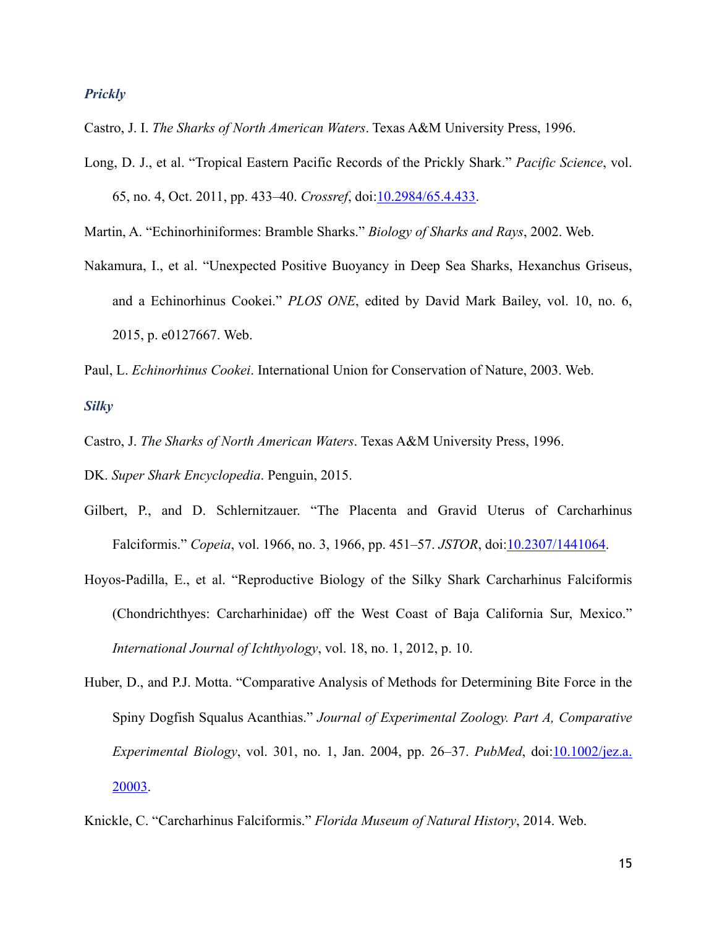## <span id="page-14-0"></span>*Prickly*

Castro, J. I. *The Sharks of North American Waters*. Texas A&M University Press, 1996.

- Long, D. J., et al. "Tropical Eastern Pacific Records of the Prickly Shark." *Pacific Science*, vol. 65, no. 4, Oct. 2011, pp. 433–40. *Crossref*, doi[:10.2984/65.4.433](https://doi.org/10.2984/65.4.433).
- Martin, A. "Echinorhiniformes: Bramble Sharks." *Biology of Sharks and Rays*, 2002. Web.
- Nakamura, I., et al. "Unexpected Positive Buoyancy in Deep Sea Sharks, Hexanchus Griseus, and a Echinorhinus Cookei." *PLOS ONE*, edited by David Mark Bailey, vol. 10, no. 6, 2015, p. e0127667. Web.
- Paul, L. *Echinorhinus Cookei*. International Union for Conservation of Nature, 2003. Web.

<span id="page-14-1"></span>*Silky* 

Castro, J. *The Sharks of North American Waters*. Texas A&M University Press, 1996.

DK. *Super Shark Encyclopedia*. Penguin, 2015.

- Gilbert, P., and D. Schlernitzauer. "The Placenta and Gravid Uterus of Carcharhinus Falciformis." *Copeia*, vol. 1966, no. 3, 1966, pp. 451–57. *JSTOR*, doi[:10.2307/1441064](https://doi.org/10.2307/1441064).
- Hoyos-Padilla, E., et al. "Reproductive Biology of the Silky Shark Carcharhinus Falciformis (Chondrichthyes: Carcharhinidae) off the West Coast of Baja California Sur, Mexico." *International Journal of Ichthyology*, vol. 18, no. 1, 2012, p. 10.
- Huber, D., and P.J. Motta. "Comparative Analysis of Methods for Determining Bite Force in the Spiny Dogfish Squalus Acanthias." *Journal of Experimental Zoology. Part A, Comparative Experimental Biology*, vol. 301, no. 1, Jan. 2004, pp. 26–37. *PubMed*, doi[:10.1002/jez.a.](https://doi.org/10.1002/jez.a.20003) [20003](https://doi.org/10.1002/jez.a.20003).

Knickle, C. "Carcharhinus Falciformis." *Florida Museum of Natural History*, 2014. Web.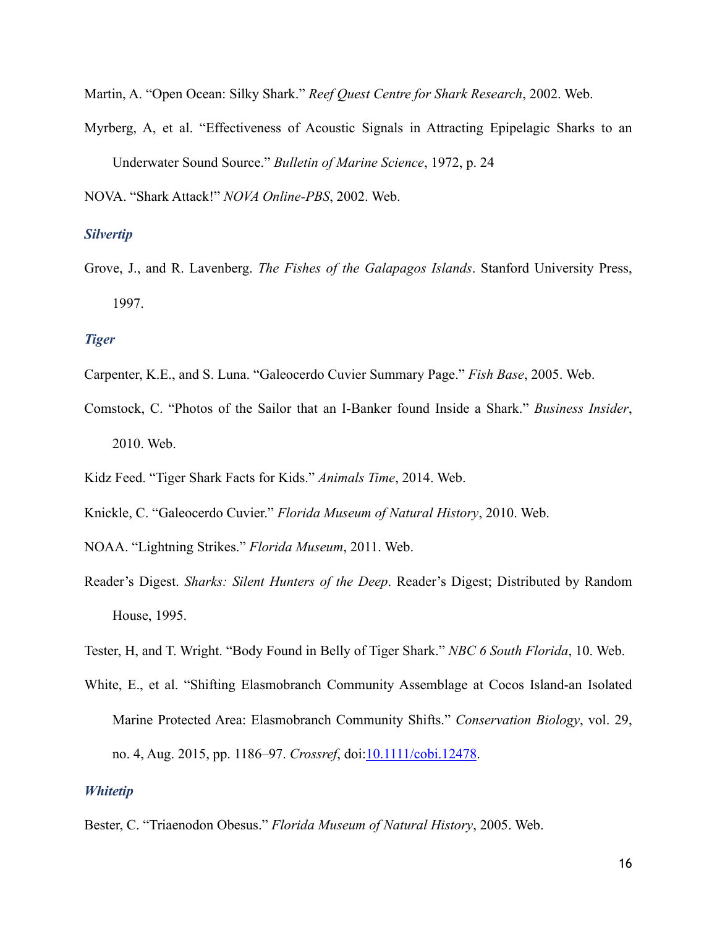Martin, A. "Open Ocean: Silky Shark." *Reef Quest Centre for Shark Research*, 2002. Web.

Myrberg, A, et al. "Effectiveness of Acoustic Signals in Attracting Epipelagic Sharks to an Underwater Sound Source." *Bulletin of Marine Science*, 1972, p. 24

NOVA. "Shark Attack!" *NOVA Online-PBS*, 2002. Web.

# <span id="page-15-0"></span>*Silvertip*

Grove, J., and R. Lavenberg. *The Fishes of the Galapagos Islands*. Stanford University Press, 1997.

#### <span id="page-15-1"></span>*Tiger*

- Carpenter, K.E., and S. Luna. "Galeocerdo Cuvier Summary Page." *Fish Base*, 2005. Web.
- Comstock, C. "Photos of the Sailor that an I-Banker found Inside a Shark." *Business Insider*, 2010. Web.
- Kidz Feed. "Tiger Shark Facts for Kids." *Animals Time*, 2014. Web.
- Knickle, C. "Galeocerdo Cuvier." *Florida Museum of Natural History*, 2010. Web.
- NOAA. "Lightning Strikes." *Florida Museum*, 2011. Web.
- Reader's Digest. *Sharks: Silent Hunters of the Deep*. Reader's Digest; Distributed by Random House, 1995.
- Tester, H, and T. Wright. "Body Found in Belly of Tiger Shark." *NBC 6 South Florida*, 10. Web.
- White, E., et al. "Shifting Elasmobranch Community Assemblage at Cocos Island-an Isolated Marine Protected Area: Elasmobranch Community Shifts." *Conservation Biology*, vol. 29, no. 4, Aug. 2015, pp. 1186–97. *Crossref*, doi:[10.1111/cobi.12478](https://doi.org/10.1111/cobi.12478).

# <span id="page-15-2"></span>*Whitetip*

Bester, C. "Triaenodon Obesus." *Florida Museum of Natural History*, 2005. Web.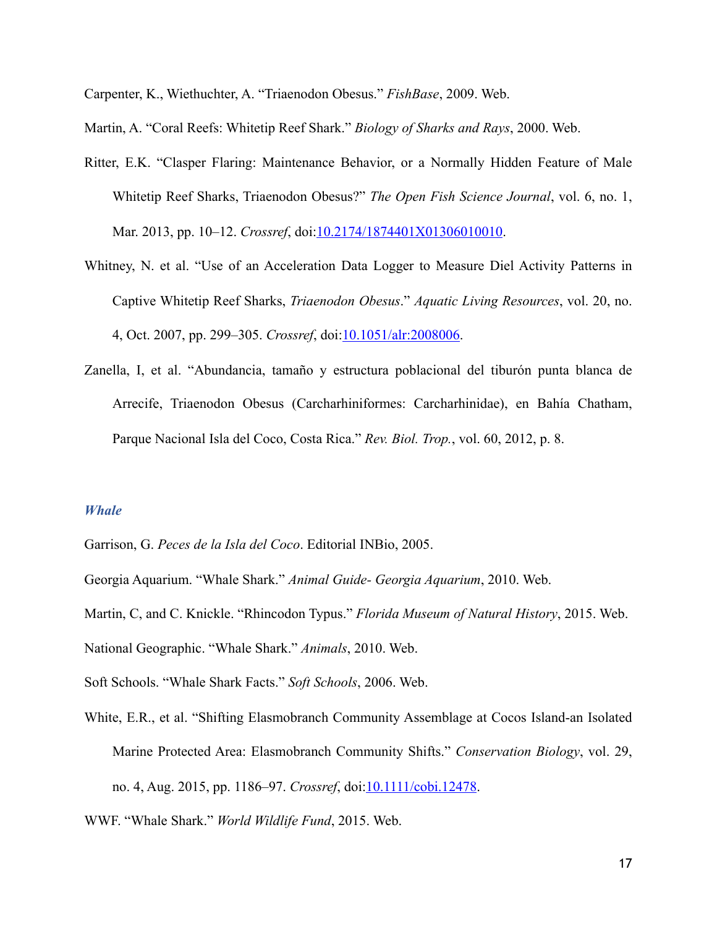Carpenter, K., Wiethuchter, A. "Triaenodon Obesus." *FishBase*, 2009. Web.

Martin, A. "Coral Reefs: Whitetip Reef Shark." *Biology of Sharks and Rays*, 2000. Web.

- Ritter, E.K. "Clasper Flaring: Maintenance Behavior, or a Normally Hidden Feature of Male Whitetip Reef Sharks, Triaenodon Obesus?" *The Open Fish Science Journal*, vol. 6, no. 1, Mar. 2013, pp. 10–12. *Crossref*, doi[:10.2174/1874401X01306010010](https://doi.org/10.2174/1874401X01306010010).
- Whitney, N. et al. "Use of an Acceleration Data Logger to Measure Diel Activity Patterns in Captive Whitetip Reef Sharks, *Triaenodon Obesus*." *Aquatic Living Resources*, vol. 20, no. 4, Oct. 2007, pp. 299–305. *Crossref*, doi[:10.1051/alr:2008006.](https://doi.org/10.1051/alr:2008006)
- Zanella, I, et al. "Abundancia, tamaño y estructura poblacional del tiburón punta blanca de Arrecife, Triaenodon Obesus (Carcharhiniformes: Carcharhinidae), en Bahía Chatham, Parque Nacional Isla del Coco, Costa Rica." *Rev. Biol. Trop.*, vol. 60, 2012, p. 8.

#### <span id="page-16-0"></span>*Whale*

Garrison, G. *Peces de la Isla del Coco*. Editorial INBio, 2005.

Georgia Aquarium. "Whale Shark." *Animal Guide- Georgia Aquarium*, 2010. Web.

Martin, C, and C. Knickle. "Rhincodon Typus." *Florida Museum of Natural History*, 2015. Web. National Geographic. "Whale Shark." *Animals*, 2010. Web.

- Soft Schools. "Whale Shark Facts." *Soft Schools*, 2006. Web.
- White, E.R., et al. "Shifting Elasmobranch Community Assemblage at Cocos Island-an Isolated Marine Protected Area: Elasmobranch Community Shifts." *Conservation Biology*, vol. 29, no. 4, Aug. 2015, pp. 1186–97. *Crossref*, doi:[10.1111/cobi.12478](https://doi.org/10.1111/cobi.12478).
- WWF. "Whale Shark." *World Wildlife Fund*, 2015. Web.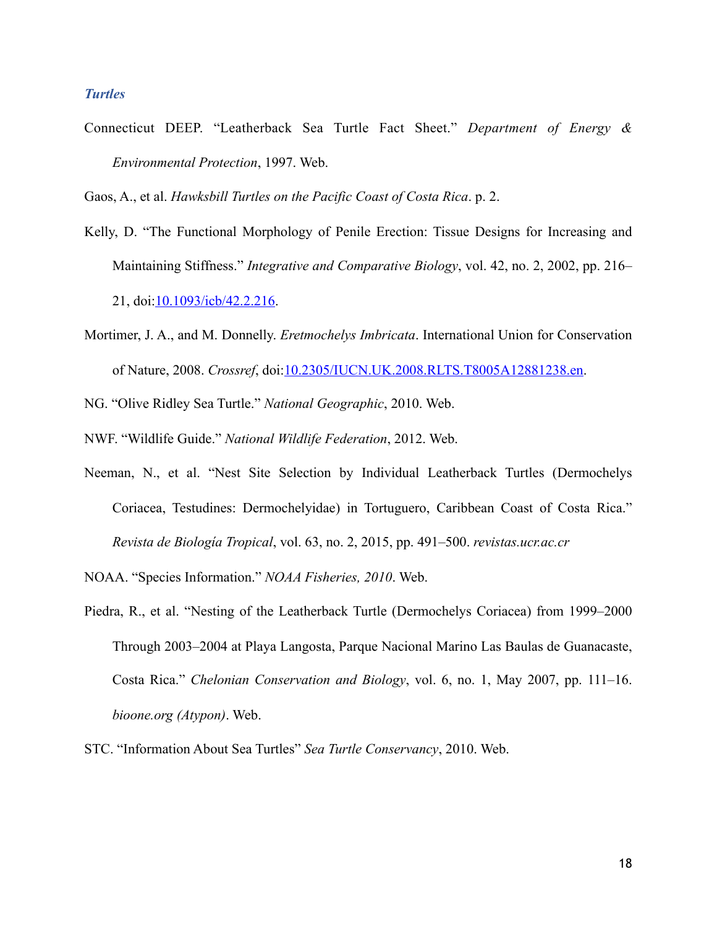#### <span id="page-17-0"></span>*Turtles*

Connecticut DEEP. "Leatherback Sea Turtle Fact Sheet." *Department of Energy & Environmental Protection*, 1997. Web.

Gaos, A., et al. *Hawksbill Turtles on the Pacific Coast of Costa Rica*. p. 2.

- Kelly, D. "The Functional Morphology of Penile Erection: Tissue Designs for Increasing and Maintaining Stiffness." *Integrative and Comparative Biology*, vol. 42, no. 2, 2002, pp. 216– 21, doi:[10.1093/icb/42.2.216.](https://doi.org/10.1093/icb/42.2.216)
- Mortimer, J. A., and M. Donnelly. *Eretmochelys Imbricata*. International Union for Conservation of Nature, 2008. *Crossref*, doi:[10.2305/IUCN.UK.2008.RLTS.T8005A12881238.en](https://doi.org/10.2305/IUCN.UK.2008.RLTS.T8005A12881238.en).
- NG. "Olive Ridley Sea Turtle." *National Geographic*, 2010. Web.
- NWF. "Wildlife Guide." *National Wildlife Federation*, 2012. Web.
- Neeman, N., et al. "Nest Site Selection by Individual Leatherback Turtles (Dermochelys Coriacea, Testudines: Dermochelyidae) in Tortuguero, Caribbean Coast of Costa Rica." *Revista de Biología Tropical*, vol. 63, no. 2, 2015, pp. 491–500. *revistas.ucr.ac.cr*
- NOAA. "Species Information." *NOAA Fisheries, 2010*. Web.
- Piedra, R., et al. "Nesting of the Leatherback Turtle (Dermochelys Coriacea) from 1999–2000 Through 2003–2004 at Playa Langosta, Parque Nacional Marino Las Baulas de Guanacaste, Costa Rica." *Chelonian Conservation and Biology*, vol. 6, no. 1, May 2007, pp. 111–16. *bioone.org (Atypon)*. Web.
- STC. "Information About Sea Turtles" *Sea Turtle Conservancy*, 2010. Web.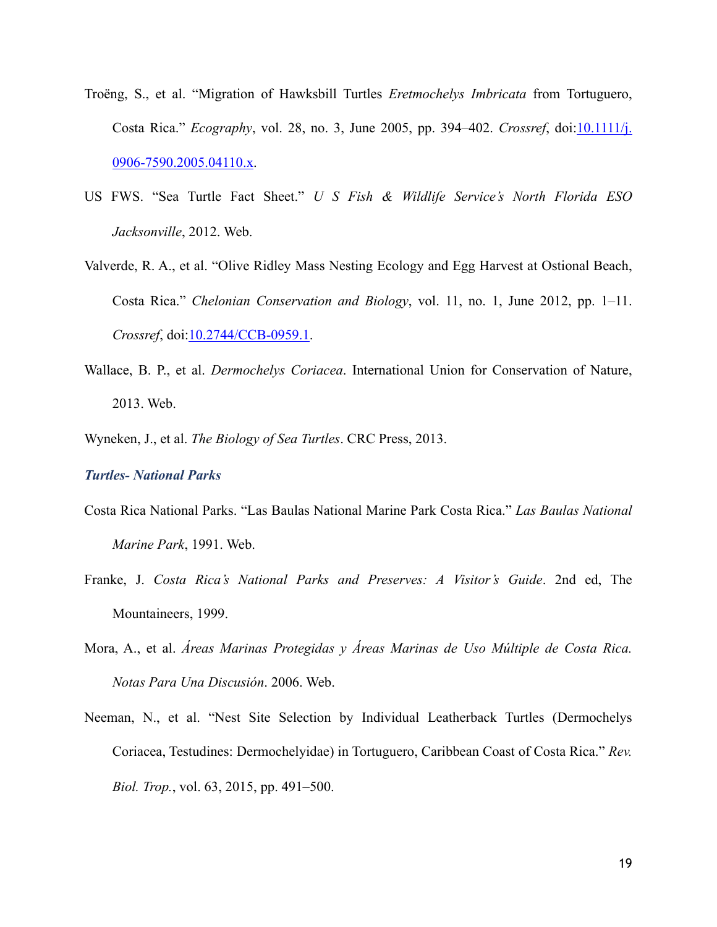- Troëng, S., et al. "Migration of Hawksbill Turtles *Eretmochelys Imbricata* from Tortuguero, Costa Rica." *Ecography*, vol. 28, no. 3, June 2005, pp. 394–402. *Crossref*, doi:[10.1111/j.](https://doi.org/10.1111/j.0906-7590.2005.04110.x) [0906-7590.2005.04110.x.](https://doi.org/10.1111/j.0906-7590.2005.04110.x)
- US FWS. "Sea Turtle Fact Sheet." *U S Fish & Wildlife Service's North Florida ESO Jacksonville*, 2012. Web.
- Valverde, R. A., et al. "Olive Ridley Mass Nesting Ecology and Egg Harvest at Ostional Beach, Costa Rica." *Chelonian Conservation and Biology*, vol. 11, no. 1, June 2012, pp. 1–11. *Crossref*, doi[:10.2744/CCB-0959.1](https://doi.org/10.2744/CCB-0959.1).
- Wallace, B. P., et al. *Dermochelys Coriacea*. International Union for Conservation of Nature, 2013. Web.
- Wyneken, J., et al. *The Biology of Sea Turtles*. CRC Press, 2013.

#### <span id="page-18-0"></span>*Turtles- National Parks*

- Costa Rica National Parks. "Las Baulas National Marine Park Costa Rica." *Las Baulas National Marine Park*, 1991. Web.
- Franke, J. *Costa Rica's National Parks and Preserves: A Visitor's Guide*. 2nd ed, The Mountaineers, 1999.
- Mora, A., et al. *Áreas Marinas Protegidas y Áreas Marinas de Uso Múltiple de Costa Rica. Notas Para Una Discusión*. 2006. Web.
- Neeman, N., et al. "Nest Site Selection by Individual Leatherback Turtles (Dermochelys Coriacea, Testudines: Dermochelyidae) in Tortuguero, Caribbean Coast of Costa Rica." *Rev. Biol. Trop.*, vol. 63, 2015, pp. 491–500.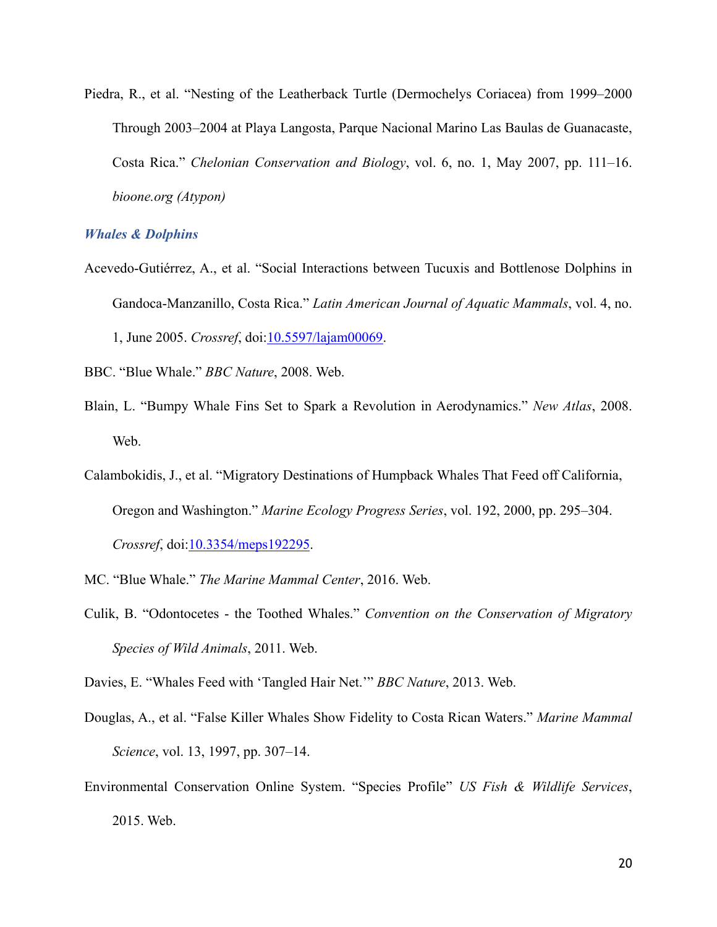Piedra, R., et al. "Nesting of the Leatherback Turtle (Dermochelys Coriacea) from 1999–2000 Through 2003–2004 at Playa Langosta, Parque Nacional Marino Las Baulas de Guanacaste, Costa Rica." *Chelonian Conservation and Biology*, vol. 6, no. 1, May 2007, pp. 111–16. *bioone.org (Atypon)*

## <span id="page-19-0"></span>*Whales & Dolphins*

- Acevedo-Gutiérrez, A., et al. "Social Interactions between Tucuxis and Bottlenose Dolphins in Gandoca-Manzanillo, Costa Rica." *Latin American Journal of Aquatic Mammals*, vol. 4, no. 1, June 2005. *Crossref*, doi[:10.5597/lajam00069](https://doi.org/10.5597/lajam00069).
- BBC. "Blue Whale." *BBC Nature*, 2008. Web.
- Blain, L. "Bumpy Whale Fins Set to Spark a Revolution in Aerodynamics." *New Atlas*, 2008. Web.
- Calambokidis, J., et al. "Migratory Destinations of Humpback Whales That Feed off California, Oregon and Washington." *Marine Ecology Progress Series*, vol. 192, 2000, pp. 295–304. *Crossref*, doi[:10.3354/meps192295.](https://doi.org/10.3354/meps192295)
- MC. "Blue Whale." *The Marine Mammal Center*, 2016. Web.
- Culik, B. "Odontocetes the Toothed Whales." *Convention on the Conservation of Migratory Species of Wild Animals*, 2011. Web.

Davies, E. "Whales Feed with 'Tangled Hair Net.'" *BBC Nature*, 2013. Web.

- Douglas, A., et al. "False Killer Whales Show Fidelity to Costa Rican Waters." *Marine Mammal Science*, vol. 13, 1997, pp. 307–14.
- Environmental Conservation Online System. "Species Profile" *US Fish & Wildlife Services*, 2015. Web.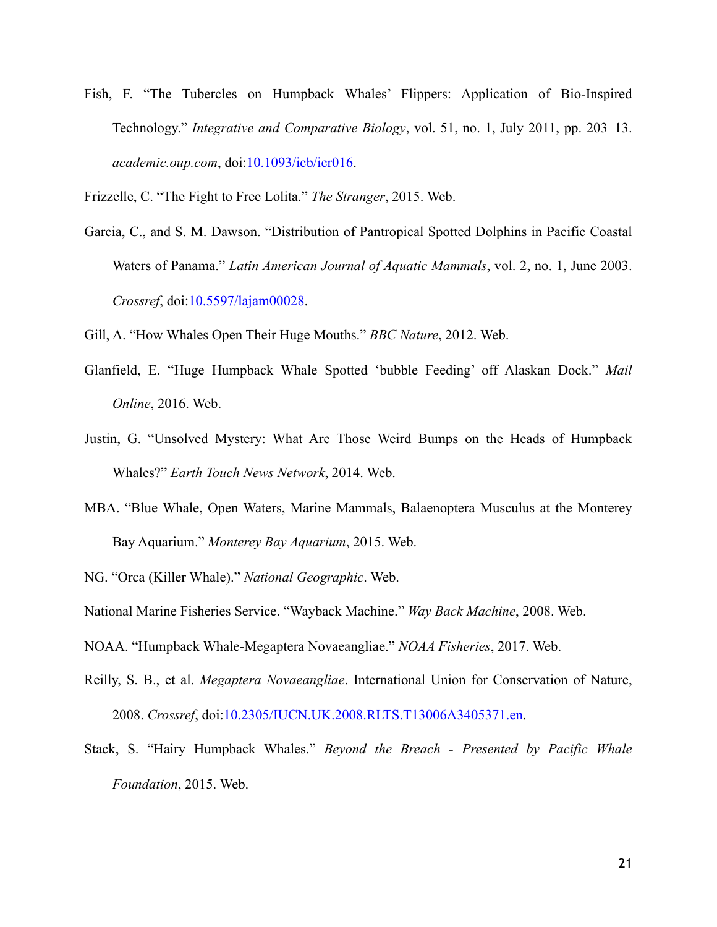Fish, F. "The Tubercles on Humpback Whales' Flippers: Application of Bio-Inspired Technology." *Integrative and Comparative Biology*, vol. 51, no. 1, July 2011, pp. 203–13. *academic.oup.com*, doi:[10.1093/icb/icr016.](https://doi.org/10.1093/icb/icr016)

Frizzelle, C. "The Fight to Free Lolita." *The Stranger*, 2015. Web.

Garcia, C., and S. M. Dawson. "Distribution of Pantropical Spotted Dolphins in Pacific Coastal Waters of Panama." *Latin American Journal of Aquatic Mammals*, vol. 2, no. 1, June 2003. *Crossref*, doi[:10.5597/lajam00028](https://doi.org/10.5597/lajam00028).

Gill, A. "How Whales Open Their Huge Mouths." *BBC Nature*, 2012. Web.

- Glanfield, E. "Huge Humpback Whale Spotted 'bubble Feeding' off Alaskan Dock." *Mail Online*, 2016. Web.
- Justin, G. "Unsolved Mystery: What Are Those Weird Bumps on the Heads of Humpback Whales?" *Earth Touch News Network*, 2014. Web.
- MBA. "Blue Whale, Open Waters, Marine Mammals, Balaenoptera Musculus at the Monterey Bay Aquarium." *Monterey Bay Aquarium*, 2015. Web.
- NG. "Orca (Killer Whale)." *National Geographic*. Web.

- NOAA. "Humpback Whale-Megaptera Novaeangliae." *NOAA Fisheries*, 2017. Web.
- Reilly, S. B., et al. *Megaptera Novaeangliae*. International Union for Conservation of Nature, 2008. *Crossref*, doi[:10.2305/IUCN.UK.2008.RLTS.T13006A3405371.en.](https://doi.org/10.2305/IUCN.UK.2008.RLTS.T13006A3405371.en)
- Stack, S. "Hairy Humpback Whales." *Beyond the Breach Presented by Pacific Whale Foundation*, 2015. Web.

National Marine Fisheries Service. "Wayback Machine." *Way Back Machine*, 2008. Web.